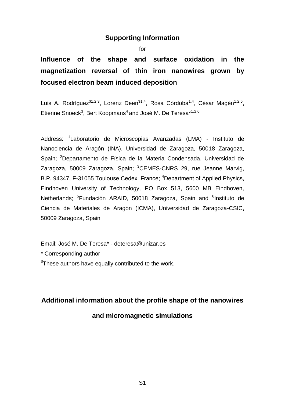## **Supporting Information**

for

**Influence of the shape and surface oxidation in the magnetization reversal of thin iron nanowires grown by focused electron beam induced deposition**

Luis A. Rodríguez<sup>\$1,2,3</sup>, Lorenz Deen<sup>\$1,4</sup>, Rosa Córdoba<sup>1,4</sup>, César Magén<sup>1,2,5</sup>, Etienne Snoeck<sup>3</sup>, Bert Koopmans<sup>4</sup> and José M. De Teresa\*<sup>1,2,6</sup>

Address: <sup>1</sup>Laboratorio de Microscopias Avanzadas (LMA) - Instituto de Nanociencia de Aragón (INA), Universidad de Zaragoza, 50018 Zaragoza, Spain; <sup>2</sup>Departamento de Física de la Materia Condensada, Universidad de Zaragoza, 50009 Zaragoza, Spain; <sup>3</sup>CEMES-CNRS 29, rue Jeanne Marvig, B.P. 94347, F-31055 Toulouse Cedex, France; <sup>4</sup>Department of Applied Physics, Eindhoven University of Technology, PO Box 513, 5600 MB Eindhoven, Netherlands; <sup>5</sup>Fundación ARAID, 50018 Zaragoza, Spain and <sup>6</sup>Instituto de Ciencia de Materiales de Aragón (ICMA), Universidad de Zaragoza-CSIC, 50009 Zaragoza, Spain

Email: José M. De Teresa\* - deteresa@unizar.es

\* Corresponding author

 $F$ These authors have equally contributed to the work.

## **Additional information about the profile shape of the nanowires**

## **and micromagnetic simulations**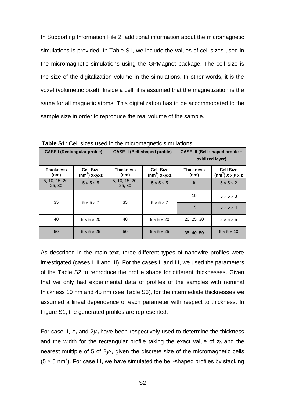In Supporting Information File 2, additional information about the micromagnetic simulations is provided. In Table S1, we include the values of cell sizes used in the micromagnetic simulations using the GPMagnet package. The cell size is the size of the digitalization volume in the simulations. In other words, it is the voxel (volumetric pixel). Inside a cell, it is assumed that the magnetization is the same for all magnetic atoms. This digitalization has to be accommodated to the sample size in order to reproduce the real volume of the sample.

| <b>Table S1:</b> Cell sizes used in the micromagnetic simulations. |                                                      |                          |                                      |                                                    |                                                              |  |  |
|--------------------------------------------------------------------|------------------------------------------------------|--------------------------|--------------------------------------|----------------------------------------------------|--------------------------------------------------------------|--|--|
| <b>CASE I (Rectangular profile)</b>                                |                                                      |                          | <b>CASE II (Bell-shaped profile)</b> | CASE III (Bell-shaped profile +<br>oxidized layer) |                                                              |  |  |
| <b>Thickness</b><br>(nm)                                           | <b>Cell Size</b><br>$(nm^3)$ x $\times$ y $\times$ z | <b>Thickness</b><br>(nm) | <b>Cell Size</b><br>$(nm^3)$ xxyxz   | <b>Thickness</b><br>(nm)                           | <b>Cell Size</b><br>(nm <sup>3</sup> ) $x \times y \times z$ |  |  |
| 5, 10, 15, 20,<br>25, 30                                           | $5 \times 5 \times 5$                                | 5, 10, 15, 20,<br>25, 30 | $5 \times 5 \times 5$                | 5                                                  | $5 \times 5 \times 2$                                        |  |  |
| 35                                                                 | $5 \times 5 \times 7$                                | 35                       | $5 \times 5 \times 7$                | 10                                                 | $5 \times 5 \times 3$                                        |  |  |
|                                                                    |                                                      |                          |                                      | 15                                                 | $5 \times 5 \times 4$                                        |  |  |
| 40                                                                 | $5 \times 5 \times 20$                               | 40                       | $5 \times 5 \times 20$               | 20, 25, 30                                         | $5 \times 5 \times 5$                                        |  |  |
| 50                                                                 | $5 \times 5 \times 25$                               | 50                       | $5 \times 5 \times 25$               | 35, 40, 50                                         | $5 \times 5 \times 10$                                       |  |  |

As described in the main text, three different types of nanowire profiles were investigated (cases I, II and III). For the cases II and III, we used the parameters of the Table S2 to reproduce the profile shape for different thicknesses. Given that we only had experimental data of profiles of the samples with nominal thickness 10 nm and 45 nm (see Table S3), for the intermediate thicknesses we assumed a lineal dependence of each parameter with respect to thickness. In Figure S1, the generated profiles are represented.

For case II,  $z_0$  and  $2y_0$  have been respectively used to determine the thickness and the width for the rectangular profile taking the exact value of  $z<sub>0</sub>$  and the nearest multiple of 5 of 2*y*0, given the discrete size of the micromagnetic cells  $(5 \times 5 \text{ nm}^2)$ . For case III, we have simulated the bell-shaped profiles by stacking